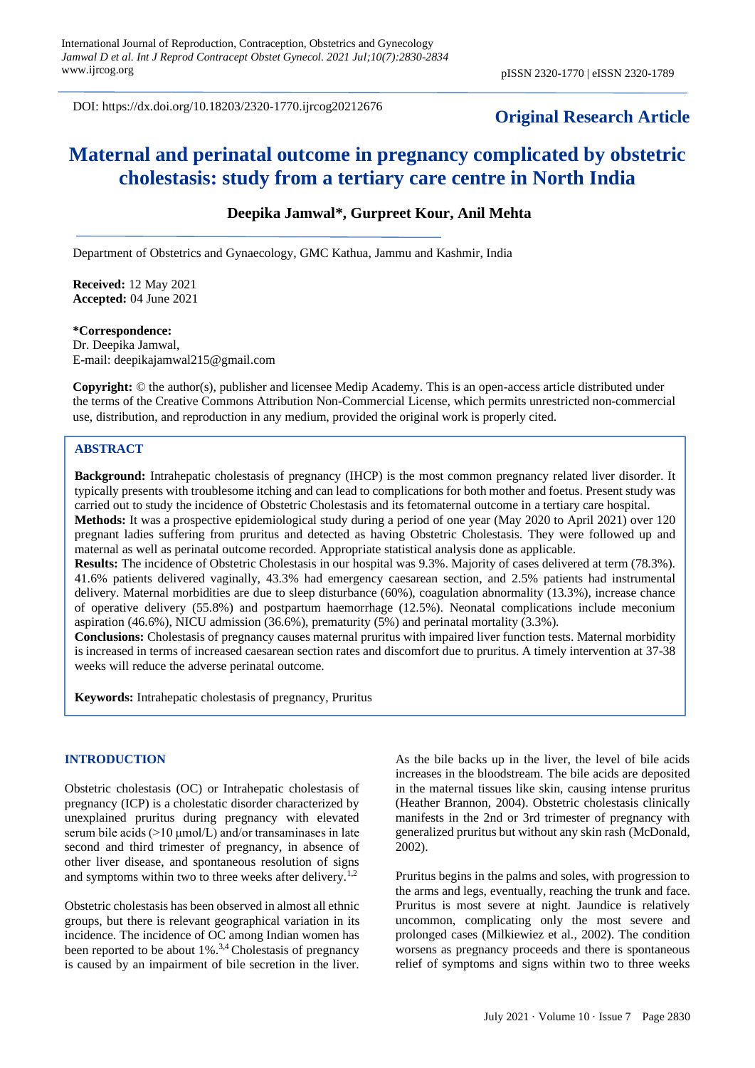DOI: https://dx.doi.org/10.18203/2320-1770.ijrcog20212676

## **Original Research Article**

# **Maternal and perinatal outcome in pregnancy complicated by obstetric cholestasis: study from a tertiary care centre in North India**

## **Deepika Jamwal\*, Gurpreet Kour, Anil Mehta**

Department of Obstetrics and Gynaecology, GMC Kathua, Jammu and Kashmir, India

**Received:** 12 May 2021 **Accepted:** 04 June 2021

**\*Correspondence:** Dr. Deepika Jamwal, E-mail: deepikajamwal215@gmail.com

**Copyright:** © the author(s), publisher and licensee Medip Academy. This is an open-access article distributed under the terms of the Creative Commons Attribution Non-Commercial License, which permits unrestricted non-commercial use, distribution, and reproduction in any medium, provided the original work is properly cited.

#### **ABSTRACT**

**Background:** Intrahepatic cholestasis of pregnancy (IHCP) is the most common pregnancy related liver disorder. It typically presents with troublesome itching and can lead to complications for both mother and foetus. Present study was carried out to study the incidence of Obstetric Cholestasis and its fetomaternal outcome in a tertiary care hospital.

**Methods:** It was a prospective epidemiological study during a period of one year (May 2020 to April 2021) over 120 pregnant ladies suffering from pruritus and detected as having Obstetric Cholestasis. They were followed up and maternal as well as perinatal outcome recorded. Appropriate statistical analysis done as applicable.

**Results:** The incidence of Obstetric Cholestasis in our hospital was 9.3%. Majority of cases delivered at term (78.3%). 41.6% patients delivered vaginally, 43.3% had emergency caesarean section, and 2.5% patients had instrumental delivery. Maternal morbidities are due to sleep disturbance (60%), coagulation abnormality (13.3%), increase chance of operative delivery (55.8%) and postpartum haemorrhage (12.5%). Neonatal complications include meconium aspiration (46.6%), NICU admission (36.6%), prematurity (5%) and perinatal mortality (3.3%).

**Conclusions:** Cholestasis of pregnancy causes maternal pruritus with impaired liver function tests. Maternal morbidity is increased in terms of increased caesarean section rates and discomfort due to pruritus. A timely intervention at 37-38 weeks will reduce the adverse perinatal outcome.

**Keywords:** Intrahepatic cholestasis of pregnancy, Pruritus

#### **INTRODUCTION**

Obstetric cholestasis (OC) or Intrahepatic cholestasis of pregnancy (ICP) is a cholestatic disorder characterized by unexplained pruritus during pregnancy with elevated serum bile acids  $(>10 \mu$ mol/L) and/or transaminases in late second and third trimester of pregnancy, in absence of other liver disease, and spontaneous resolution of signs and symptoms within two to three weeks after delivery.<sup>1,2</sup>

Obstetric cholestasis has been observed in almost all ethnic groups, but there is relevant geographical variation in its incidence. The incidence of OC among Indian women has been reported to be about  $1\%$ .<sup>3,4</sup> Cholestasis of pregnancy is caused by an impairment of bile secretion in the liver. As the bile backs up in the liver, the level of bile acids increases in the bloodstream. The bile acids are deposited in the maternal tissues like skin, causing intense pruritus (Heather Brannon, 2004). Obstetric cholestasis clinically manifests in the 2nd or 3rd trimester of pregnancy with generalized pruritus but without any skin rash (McDonald, 2002).

Pruritus begins in the palms and soles, with progression to the arms and legs, eventually, reaching the trunk and face. Pruritus is most severe at night. Jaundice is relatively uncommon, complicating only the most severe and prolonged cases (Milkiewiez et al., 2002). The condition worsens as pregnancy proceeds and there is spontaneous relief of symptoms and signs within two to three weeks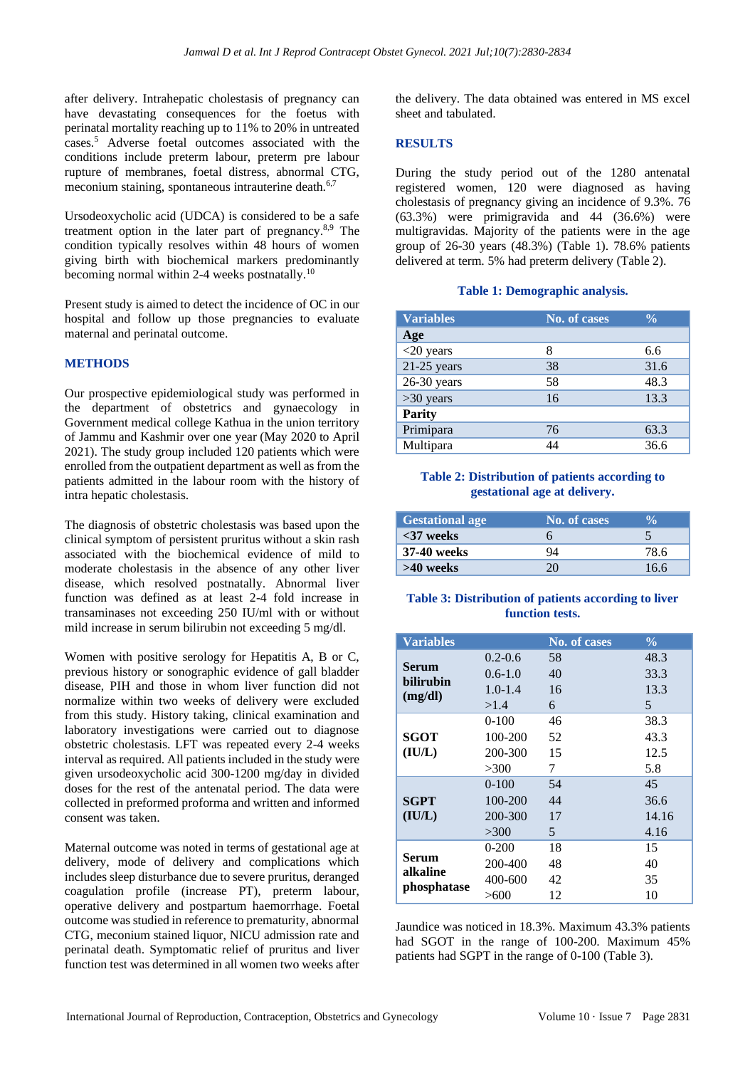after delivery. Intrahepatic cholestasis of pregnancy can have devastating consequences for the foetus with perinatal mortality reaching up to 11% to 20% in untreated cases.<sup>5</sup> Adverse foetal outcomes associated with the conditions include preterm labour, preterm pre labour rupture of membranes, foetal distress, abnormal CTG, meconium staining, spontaneous intrauterine death.<sup>6,7</sup>

Ursodeoxycholic acid (UDCA) is considered to be a safe treatment option in the later part of pregnancy. $8.9$  The condition typically resolves within 48 hours of women giving birth with biochemical markers predominantly becoming normal within 2-4 weeks postnatally.<sup>10</sup>

Present study is aimed to detect the incidence of OC in our hospital and follow up those pregnancies to evaluate maternal and perinatal outcome.

## **METHODS**

Our prospective epidemiological study was performed in the department of obstetrics and gynaecology in Government medical college Kathua in the union territory of Jammu and Kashmir over one year (May 2020 to April 2021). The study group included 120 patients which were enrolled from the outpatient department as well as from the patients admitted in the labour room with the history of intra hepatic cholestasis.

The diagnosis of obstetric cholestasis was based upon the clinical symptom of persistent pruritus without a skin rash associated with the biochemical evidence of mild to moderate cholestasis in the absence of any other liver disease, which resolved postnatally. Abnormal liver function was defined as at least 2-4 fold increase in transaminases not exceeding 250 IU/ml with or without mild increase in serum bilirubin not exceeding 5 mg/dl.

Women with positive serology for Hepatitis A, B or C, previous history or sonographic evidence of gall bladder disease, PIH and those in whom liver function did not normalize within two weeks of delivery were excluded from this study. History taking, clinical examination and laboratory investigations were carried out to diagnose obstetric cholestasis. LFT was repeated every 2-4 weeks interval as required. All patients included in the study were given ursodeoxycholic acid 300-1200 mg/day in divided doses for the rest of the antenatal period. The data were collected in preformed proforma and written and informed consent was taken.

Maternal outcome was noted in terms of gestational age at delivery, mode of delivery and complications which includes sleep disturbance due to severe pruritus, deranged coagulation profile (increase PT), preterm labour, operative delivery and postpartum haemorrhage. Foetal outcome was studied in reference to prematurity, abnormal CTG, meconium stained liquor, NICU admission rate and perinatal death. Symptomatic relief of pruritus and liver function test was determined in all women two weeks after the delivery. The data obtained was entered in MS excel sheet and tabulated.

## **RESULTS**

During the study period out of the 1280 antenatal registered women, 120 were diagnosed as having cholestasis of pregnancy giving an incidence of 9.3%. 76  $(63.3\%)$  were primigravida and 44  $(36.6\%)$  were multigravidas. Majority of the patients were in the age group of 26-30 years (48.3%) (Table 1). 78.6% patients delivered at term. 5% had preterm delivery (Table 2).

## **Table 1: Demographic analysis.**

| <b>Variables</b> | <b>No. of cases</b> | $\frac{0}{0}$ |
|------------------|---------------------|---------------|
| Age              |                     |               |
| $<$ 20 years     | 8                   | 6.6           |
| $21-25$ years    | 38                  | 31.6          |
| $26-30$ years    | 58                  | 48.3          |
| $>30$ years      | 16                  | 13.3          |
| Parity           |                     |               |
| Primipara        | 76                  | 63.3          |
| Multipara        | 44                  | 36.6          |

## **Table 2: Distribution of patients according to gestational age at delivery.**

| <b>Gestational age</b> | No. of cases |      |
|------------------------|--------------|------|
| $<$ 37 weeks           |              |      |
| 37-40 weeks            |              | 78 6 |
| >40 weeks              |              | 16.6 |

## **Table 3: Distribution of patients according to liver function tests.**

| <b>Variables</b>  |             | <b>No. of cases</b> | $\frac{0}{0}$ |
|-------------------|-------------|---------------------|---------------|
| <b>Serum</b>      | $0.2 - 0.6$ | 58                  | 48.3          |
|                   | $0.6 - 1.0$ | 40                  | 33.3          |
| bilirubin         | $1.0 - 1.4$ | 16                  | 13.3          |
| (mg/dl)           | >1.4        | 6                   | 5             |
|                   | $0-100$     | 46                  | 38.3          |
| <b>SGOT</b>       | 100-200     | 52                  | 43.3          |
| (IU/L)            | 200-300     | 15                  | 12.5          |
|                   | >300        | 7                   | 5.8           |
|                   | $0 - 100$   | 54                  | 45            |
| <b>SGPT</b>       | 100-200     | 44                  | 36.6          |
| (IU/L)            | 200-300     | 17                  | 14.16         |
|                   | >300        | 5                   | 4.16          |
| Serum<br>alkaline | $0 - 200$   | 18                  | 15            |
|                   | 200-400     | 48                  | 40            |
| phosphatase       | 400-600     | 42                  | 35            |
|                   | >600        | 12                  | 10            |

Jaundice was noticed in 18.3%. Maximum 43.3% patients had SGOT in the range of 100-200. Maximum 45% patients had SGPT in the range of 0-100 (Table 3).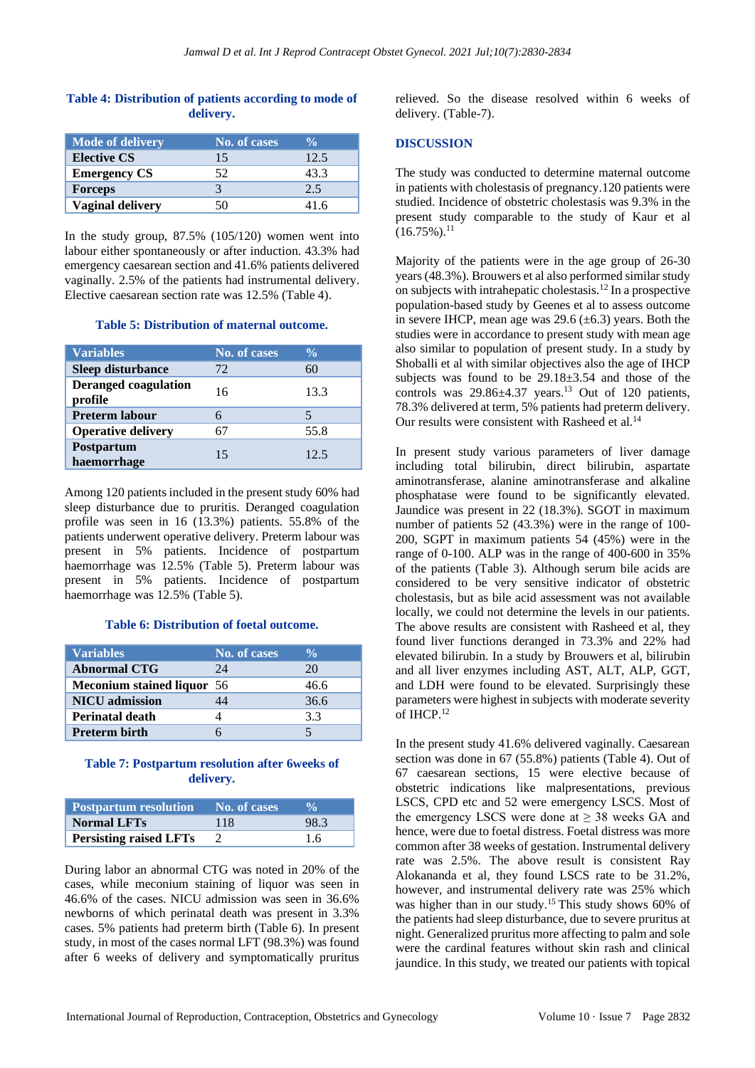## **Table 4: Distribution of patients according to mode of delivery.**

| <b>Mode of delivery</b> | No. of cases | $\frac{0}{\sqrt{2}}$ |
|-------------------------|--------------|----------------------|
| <b>Elective CS</b>      | 15           | 12.5                 |
| <b>Emergency CS</b>     | 52           | 43.3                 |
| <b>Forceps</b>          |              | 2.5                  |
| <b>Vaginal delivery</b> |              | 41 6                 |

In the study group, 87.5% (105/120) women went into labour either spontaneously or after induction. 43.3% had emergency caesarean section and 41.6% patients delivered vaginally. 2.5% of the patients had instrumental delivery. Elective caesarean section rate was 12.5% (Table 4).

## **Table 5: Distribution of maternal outcome.**

| <b>Variables</b>                       | No. of cases | $\frac{0}{\alpha}$ |
|----------------------------------------|--------------|--------------------|
| Sleep disturbance                      | 72           | 60                 |
| <b>Deranged coagulation</b><br>profile | 16           | 13.3               |
| <b>Preterm labour</b>                  |              |                    |
| <b>Operative delivery</b>              |              | 55.8               |
| <b>Postpartum</b><br>haemorrhage       | 15           | 12.5               |

Among 120 patients included in the present study 60% had sleep disturbance due to pruritis. Deranged coagulation profile was seen in 16 (13.3%) patients. 55.8% of the patients underwent operative delivery. Preterm labour was present in 5% patients. Incidence of postpartum haemorrhage was 12.5% (Table 5). Preterm labour was present in 5% patients. Incidence of postpartum haemorrhage was 12.5% (Table 5).

#### **Table 6: Distribution of foetal outcome.**

| <b>Variables</b>           | No. of cases | $\frac{0}{\sqrt{2}}$ |
|----------------------------|--------------|----------------------|
| <b>Abnormal CTG</b>        | 24           | 20                   |
| Meconium stained liquor 56 |              | 46.6                 |
| <b>NICU</b> admission      |              | 36.6                 |
| <b>Perinatal death</b>     |              | 3.3                  |
| <b>Preterm birth</b>       |              |                      |

#### **Table 7: Postpartum resolution after 6weeks of delivery.**

| <b>Postpartum resolution</b>  | No. of cases |      |
|-------------------------------|--------------|------|
| <b>Normal LFTs</b>            | 118          | 98.3 |
| <b>Persisting raised LFTs</b> |              | 16   |

During labor an abnormal CTG was noted in 20% of the cases, while meconium staining of liquor was seen in 46.6% of the cases. NICU admission was seen in 36.6% newborns of which perinatal death was present in 3.3% cases. 5% patients had preterm birth (Table 6). In present study, in most of the cases normal LFT (98.3%) was found after 6 weeks of delivery and symptomatically pruritus relieved. So the disease resolved within 6 weeks of delivery. (Table-7).

#### **DISCUSSION**

The study was conducted to determine maternal outcome in patients with cholestasis of pregnancy.120 patients were studied. Incidence of obstetric cholestasis was 9.3% in the present study comparable to the study of Kaur et al  $(16.75\%)$ <sup>11</sup>

Majority of the patients were in the age group of 26-30 years (48.3%). Brouwers et al also performed similar study on subjects with intrahepatic cholestasis.<sup>12</sup> In a prospective population-based study by Geenes et al to assess outcome in severe IHCP, mean age was 29.6  $(\pm 6.3)$  years. Both the studies were in accordance to present study with mean age also similar to population of present study. In a study by Shoballi et al with similar objectives also the age of IHCP subjects was found to be 29.18±3.54 and those of the controls was  $29.86\pm4.37$  years.<sup>13</sup> Out of 120 patients, 78.3% delivered at term, 5% patients had preterm delivery. Our results were consistent with Rasheed et al.<sup>14</sup>

In present study various parameters of liver damage including total bilirubin, direct bilirubin, aspartate aminotransferase, alanine aminotransferase and alkaline phosphatase were found to be significantly elevated. Jaundice was present in 22 (18.3%). SGOT in maximum number of patients 52 (43.3%) were in the range of 100- 200, SGPT in maximum patients 54 (45%) were in the range of 0-100. ALP was in the range of 400-600 in 35% of the patients (Table 3). Although serum bile acids are considered to be very sensitive indicator of obstetric cholestasis, but as bile acid assessment was not available locally, we could not determine the levels in our patients. The above results are consistent with Rasheed et al, they found liver functions deranged in 73.3% and 22% had elevated bilirubin. In a study by Brouwers et al, bilirubin and all liver enzymes including AST, ALT, ALP, GGT, and LDH were found to be elevated. Surprisingly these parameters were highest in subjects with moderate severity of IHCP.<sup>12</sup>

In the present study 41.6% delivered vaginally. Caesarean section was done in 67 (55.8%) patients (Table 4). Out of 67 caesarean sections, 15 were elective because of obstetric indications like malpresentations, previous LSCS, CPD etc and 52 were emergency LSCS. Most of the emergency LSCS were done at  $\geq$  38 weeks GA and hence, were due to foetal distress. Foetal distress was more common after 38 weeks of gestation. Instrumental delivery rate was 2.5%. The above result is consistent Ray Alokananda et al, they found LSCS rate to be 31.2%, however, and instrumental delivery rate was 25% which was higher than in our study.<sup>15</sup> This study shows 60% of the patients had sleep disturbance, due to severe pruritus at night. Generalized pruritus more affecting to palm and sole were the cardinal features without skin rash and clinical jaundice. In this study, we treated our patients with topical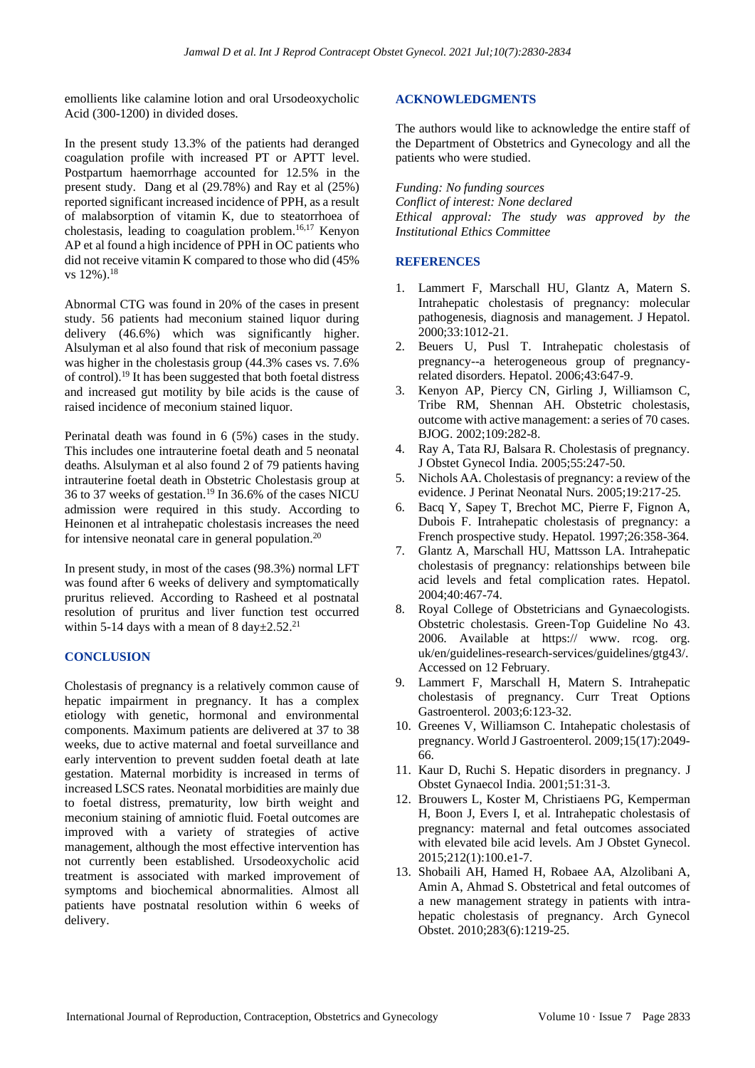emollients like calamine lotion and oral Ursodeoxycholic Acid (300-1200) in divided doses.

In the present study 13.3% of the patients had deranged coagulation profile with increased PT or APTT level. Postpartum haemorrhage accounted for 12.5% in the present study. Dang et al (29.78%) and Ray et al (25%) reported significant increased incidence of PPH, as a result of malabsorption of vitamin K, due to steatorrhoea of cholestasis, leading to coagulation problem.16,17 Kenyon AP et al found a high incidence of PPH in OC patients who did not receive vitamin K compared to those who did (45% vs 12%).<sup>18</sup>

Abnormal CTG was found in 20% of the cases in present study. 56 patients had meconium stained liquor during delivery (46.6%) which was significantly higher. Alsulyman et al also found that risk of meconium passage was higher in the cholestasis group (44.3% cases vs. 7.6% of control).<sup>19</sup> It has been suggested that both foetal distress and increased gut motility by bile acids is the cause of raised incidence of meconium stained liquor.

Perinatal death was found in 6 (5%) cases in the study. This includes one intrauterine foetal death and 5 neonatal deaths. Alsulyman et al also found 2 of 79 patients having intrauterine foetal death in Obstetric Cholestasis group at 36 to 37 weeks of gestation.<sup>19</sup> In 36.6% of the cases NICU admission were required in this study. According to Heinonen et al intrahepatic cholestasis increases the need for intensive neonatal care in general population. $20$ 

In present study, in most of the cases (98.3%) normal LFT was found after 6 weeks of delivery and symptomatically pruritus relieved. According to Rasheed et al postnatal resolution of pruritus and liver function test occurred within 5-14 days with a mean of 8 day $\pm 2.52$ .<sup>21</sup>

## **CONCLUSION**

Cholestasis of pregnancy is a relatively common cause of hepatic impairment in pregnancy. It has a complex etiology with genetic, hormonal and environmental components. Maximum patients are delivered at 37 to 38 weeks, due to active maternal and foetal surveillance and early intervention to prevent sudden foetal death at late gestation. Maternal morbidity is increased in terms of increased LSCS rates. Neonatal morbidities are mainly due to foetal distress, prematurity, low birth weight and meconium staining of amniotic fluid. Foetal outcomes are improved with a variety of strategies of active management, although the most effective intervention has not currently been established. Ursodeoxycholic acid treatment is associated with marked improvement of symptoms and biochemical abnormalities. Almost all patients have postnatal resolution within 6 weeks of delivery.

## **ACKNOWLEDGMENTS**

The authors would like to acknowledge the entire staff of the Department of Obstetrics and Gynecology and all the patients who were studied.

*Funding: No funding sources Conflict of interest: None declared Ethical approval: The study was approved by the Institutional Ethics Committee*

## **REFERENCES**

- 1. Lammert F, Marschall HU, Glantz A, Matern S. Intrahepatic cholestasis of pregnancy: molecular pathogenesis, diagnosis and management. J Hepatol. 2000;33:1012-21.
- 2. Beuers U, Pusl T. Intrahepatic cholestasis of pregnancy--a heterogeneous group of pregnancyrelated disorders. Hepatol. 2006;43:647-9.
- 3. Kenyon AP, Piercy CN, Girling J, Williamson C, Tribe RM, Shennan AH. Obstetric cholestasis, outcome with active management: a series of 70 cases. BJOG. 2002;109:282-8.
- 4. Ray A, Tata RJ, Balsara R. Cholestasis of pregnancy. J Obstet Gynecol India. 2005;55:247-50.
- 5. Nichols AA. Cholestasis of pregnancy: a review of the evidence. J Perinat Neonatal Nurs. 2005;19:217-25.
- 6. Bacq Y, Sapey T, Brechot MC, Pierre F, Fignon A, Dubois F. Intrahepatic cholestasis of pregnancy: a French prospective study. Hepatol. 1997;26:358-364.
- 7. Glantz A, Marschall HU, Mattsson LA. Intrahepatic cholestasis of pregnancy: relationships between bile acid levels and fetal complication rates. Hepatol. 2004;40:467-74.
- 8. Royal College of Obstetricians and Gynaecologists. Obstetric cholestasis. Green-Top Guideline No 43. 2006. Available at https:// www. rcog. org. uk/en/guidelines-research-services/guidelines/gtg43/. Accessed on 12 February.
- 9. Lammert F, Marschall H, Matern S. Intrahepatic cholestasis of pregnancy. Curr Treat Options Gastroenterol. 2003;6:123-32.
- 10. Greenes V, Williamson C. Intahepatic cholestasis of pregnancy. World J Gastroenterol. 2009;15(17):2049- 66.
- 11. Kaur D, Ruchi S. Hepatic disorders in pregnancy. J Obstet Gynaecol India. 2001;51:31-3.
- 12. Brouwers L, Koster M, Christiaens PG, Kemperman H, Boon J, Evers I, et al. Intrahepatic cholestasis of pregnancy: maternal and fetal outcomes associated with elevated bile acid levels. Am J Obstet Gynecol. 2015;212(1):100.e1-7.
- 13. Shobaili AH, Hamed H, Robaee AA, Alzolibani A, Amin A, Ahmad S. Obstetrical and fetal outcomes of a new management strategy in patients with intrahepatic cholestasis of pregnancy. Arch Gynecol Obstet. 2010;283(6):1219-25.